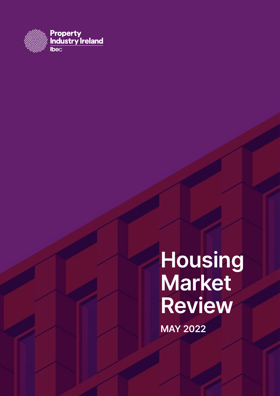

**Housing Market Review MAY 2022**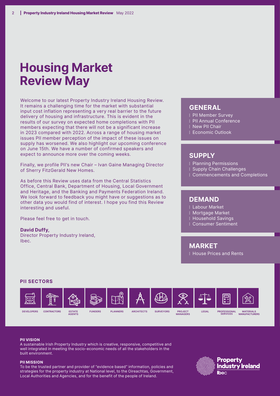## **Housing Market Review May**

Welcome to our latest Property Industry Ireland Housing Review. It remains a challenging time for the market with substantial input cost inflation representing a very real barrier to the future delivery of housing and infrastructure. This is evident in the results of our survey on expected home completions with PII members expecting that there will not be a significant increase in 2023 compared with 2022. Across a range of housing market issues PII member perception of the impact of these issues on supply has worsened. We also highlight our upcoming conference on June 15th. We have a number of confirmed speakers and expect to announce more over the coming weeks.

Finally, we profile PII's new Chair – Ivan Gaine Managing Director of Sherry FitzGerald New Homes.

As before this Review uses data from the Central Statistics Office, Central Bank, Department of Housing, Local Government and Heritage, and the Banking and Payments Federation Ireland. We look forward to feedback you might have or suggestions as to other data you would find of interest. I hope you find this Review interesting and useful.

Please feel free to get in touch.

#### **David Duffy,**

Director Property Industry Ireland, Ibec.

#### **GENERAL**

- ⁞ PII Member Survey
- PII Annual Conference
- **New PII Chair**
- **Economic Outlook**

### **SUPPLY**

- ⁞ Planning Permissions
- ⁞ Supply Chain Challenges
- ⁞ Commencements and Completions

### **DEMAND**

- ⁞ Labour Market
- ⁞ Mortgage Market
- ⁞ Household Savings
- ⁞ Consumer Sentiment

### **MARKET**

⁞ House Prices and Rents

#### **PII SECTORS**



#### **PII VISION**

A sustainable Irish Property Industry which is creative, responsive, competitive and well integrated in meeting the socio-economic needs of all the stakeholders in the built environment.

#### **PII MISSION**

To be the trusted partner and provider of "evidence based" information, policies and strategies for the property industry at National level, to the Oireachtas, Government, Local Authorities and Agencies, and for the benefit of the people of Ireland.

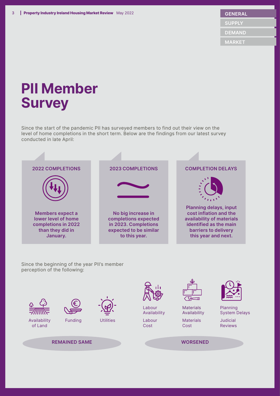# **PII Member Survey**

Since the start of the pandemic PII has surveyed members to find out their view on the level of home completions in the short term. Below are the findings from our latest survey conducted in late April:



Since the beginning of the year PII's member perception of the following:

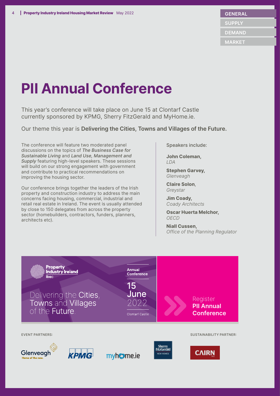# **PII Annual Conference**

This year's conference will take place on June 15 at Clontarf Castle currently sponsored by KPMG, Sherry FitzGerald and MyHome.ie.

Our theme this year is **Delivering the Cities, Towns and Villages of the Future.** 

The conference will feature two moderated panel discussions on the topics of *The Business Case for Sustainable Living* and *Land Use, Management and Supply* featuring high-level speakers. These sessions will build on our strong engagement with government and contribute to practical recommendations on improving the housing sector.

Our conference brings together the leaders of the Irish property and construction industry to address the main concerns facing housing, commercial, industrial and retail real estate in Ireland. The event is usually attended by close to 150 delegates from across the property sector (homebuilders, contractors, funders, planners, architects etc).

Speakers include:

**John Coleman,**  *LDA*

**Stephen Garvey,** *Glenveagh*

**Claire Solon**, *Greystar*

**Jim Coady,**  *Coady Architects*

**Oscar Huerta Melchor,**  *OECD*

**Niall Cussen,** *Office of the Planning Regulator*

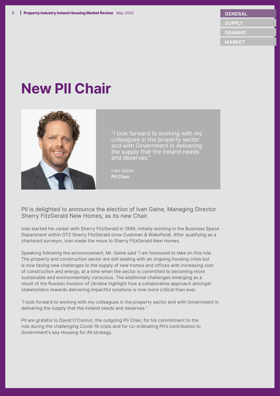#### **GENERAL**

 **SUPPLY**

 **DEMAND**

 **MARKET**

# **New PII Chair**



"I look forward to working with my colleagues in the property sector and with Government in delivering the supply that the Ireland needs and deserves."

Ivan Gaine *PII Chair*

PII is delighted to announce the election of Ivan Gaine, Managing Director Sherry FitzGerald New Homes, as its new Chair.

Ivan started his career with Sherry FitzGerald in 1999, initially working in the Business Space Department within DTZ Sherry FitzGerald (now Cushman & Wakefield). After qualifying as a chartered surveyor, Ivan made the move to Sherry FitzGerald New Homes.

Speaking following the announcement, Mr. Gaine said "I am honoured to take on this role. The property and construction sector are still dealing with an ongoing housing crisis but is now facing new challenges to the supply of new homes and offices with increasing cost of construction and energy, at a time when the sector is committed to becoming more sustainable and environmentally conscious. The additional challenges emerging as a result of the Russian invasion of Ukraine highlight how a collaborative approach amongst stakeholders towards delivering impactful solutions is now more critical than ever.

"I look forward to working with my colleagues in the property sector and with Government in delivering the supply that the Ireland needs and deserves."

PII are grateful to David O'Connor, the outgoing PII Chair, for his commitment to the role during the challenging Covid-19 crisis and for co-ordinating PII's contribution to Government's key Housing for All strategy.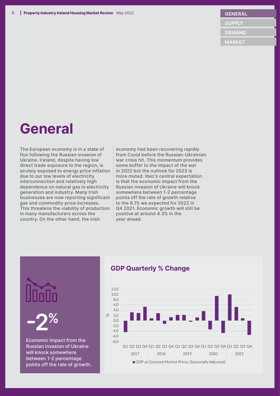#### **GENERAL**

 **SUPPLY**

 **DEMAND**

 **MARKET**

## **General**

The European economy is in a state of flux following the Russian invasion of Ukraine. Ireland, despite having low direct trade exposure to the region, is acutely exposed to energy price inflation due to our low levels of electricity interconnection and relatively high dependence on natural gas in electricity generation and industry. Many Irish businesses are now reporting significant gas and commodity price increases. This threatens the viability of production in many manufacturers across the country. On the other hand, the Irish

economy had been recovering rapidly from Covid before the Russian-Ukrainian war crisis hit. This momentum provides some buffer to the impact of the war in 2022 but the outlook for 2023 is more muted. Ibec's central expectation is that the economic impact from the Russian invasion of Ukraine will knock somewhere between 1-2 percentage points off the rate of growth relative to the 6.1% we expected for 2022 in Q4 2021. Economic growth will still be positive at around 4.3% in the year ahead.

**-2%**

Economic impact from the Russian invasion of Ukraine will knock somewhere between 1-2 percentage points off the rate of growth.

### **GDP Quarterly % Change**

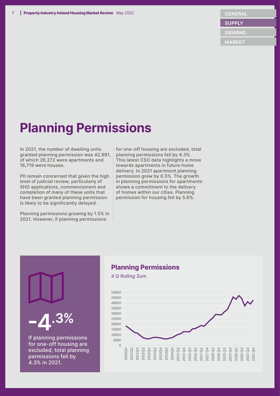#### **GENERAL**

 **SUPPLY**

 **DEMAND**

 **MARKET**

## **Planning Permissions**

In 2021, the number of dwelling units granted planning permission was 42,991, of which 26,272 were apartments and 16,719 were houses.

PII remain concerned that given the high level of judicial review, particularly of SHD applications, commencement and completion of many of these units that have been granted planning permission is likely to be significantly delayed.

Planning permissions growing by 1.5% in 2021. However, if planning permissions

If planning permissions for one-off housing are excluded, total planning permissions fell by 4.3% in 2021.

**-4.3%**

for one-off housing are excluded, total planning permissions fell by 4.3%. This latest CSO data highlights a move towards apartments in future home delivery. In 2021 apartment planning permission grew by 6.5%. The growth in planning permissions for apartments shows a commitment to the delivery of homes within our cities. Planning permission for housing fell by 5.6%.

### **Planning Permissions**

*4 Q Rolling Sum*

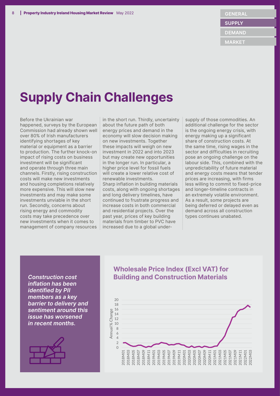**DEMAND**

 **MARKET**

## **Supply Chain Challenges**

Before the Ukrainian war happened, surveys by the European Commission had already shown well over 80% of Irish manufacturers identifying shortages of key material or equipment as a barrier to production. The further knock-on impact of rising costs on business investment will be significant and operate through three main channels. Firstly, rising construction costs will make new investments and housing completions relatively more expensive. This will slow new investments and may make some investments unviable in the short run. Secondly, concerns about rising energy and commodity costs may take precedence over new investments when it comes to management of company resources

in the short run. Thirdly, uncertainty about the future path of both energy prices and demand in the economy will slow decision making on new investments. Together these impacts will weigh on new investment in 2022 and into 2023 but may create new opportunities in the longer run. In particular, a higher price level for fossil fuels will create a lower relative cost of renewable investments. Sharp inflation in building materials costs, along with ongoing shortages and long delivery timelines, have continued to frustrate progress and increase costs in both commercial and residential projects. Over the past year, prices of key building materials from timber to PVC have increased due to a global undersupply of those commodities. An additional challenge for the sector is the ongoing energy crisis, with energy making up a significant share of construction costs. At the same time, rising wages in the sector and difficulties in recruiting pose an ongoing challenge on the labour side. This, combined with the unpredictability of future material and energy costs means that tender prices are increasing, with firms less willing to commit to fixed-price and longer-timeline contracts in an extremely volatile environment. As a result, some projects are being deferred or delayed even as demand across all construction types continues unabated.

*inflation has been identified by PII members as a key barrier to delivery and sentiment around this issue has worsened in recent months.*



### **Wholesale Price Index (Excl VAT) for Construction cost <b>Building and Construction Materials**

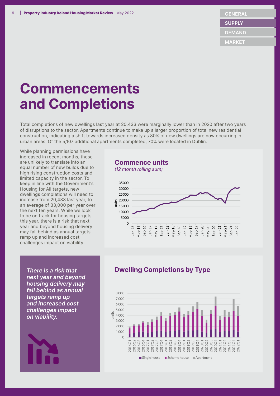**DEMAND**

 **MARKET**

# **Commencements and Completions**

Total completions of new dwellings last year at 20,433 were marginally lower than in 2020 after two years of disruptions to the sector. Apartments continue to make up a larger proportion of total new residential construction, indicating a shift towards increased density as 80% of new dwellings are now occurring in urban areas. Of the 5,107 additional apartments completed, 70% were located in Dublin.

While planning permissions have increased in recent months, these are unlikely to translate into an equal number of new builds due to high rising construction costs and limited capacity in the sector. To keep in line with the Government's Housing for All targets, new dwellings completions will need to increase from 20,433 last year, to an average of 33,000 per year over the next ten years. While we look to be on track for housing targets this year, there is a risk that next year and beyond housing delivery may fall behind as annual targets ramp up and increased cost challenges impact on viability.

### **Commence units**

*(12 month rolling sum)*



*There is a risk that next year and beyond housing delivery may fall behind as annual targets ramp up and increased cost challenges impact on viability.* 



### **Dwelling Completions by Type**

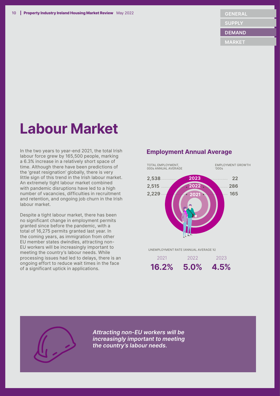**DEMAND**

 **MARKET**

# **Labour Market**

In the two years to year-end 2021, the total Irish labour force grew by 165,500 people, marking a 6.3% increase in a relatively short space of time. Although there have been predictions of the 'great resignation' globally, there is very little sign of this trend in the Irish labour market. An extremely tight labour market combined with pandemic disruptions have led to a high number of vacancies, difficulties in recruitment and retention, and ongoing job churn in the Irish labour market.

Despite a tight labour market, there has been no significant change in employment permits granted since before the pandemic, with a total of 16,275 permits granted last year. In the coming years, as immigration from other EU member states dwindles, attracting non-EU workers will be increasingly important to meeting the country's labour needs. While processing issues had led to delays, there is an ongoing effort to reduce wait times in the face of a significant uptick in applications.

### **Employment Annual Average**







*Attracting non-EU workers will be increasingly important to meeting the country's labour needs.*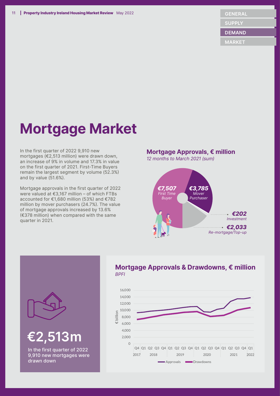**DEMAND**

 **MARKET**

# **Mortgage Market**

In the first quarter of 2022 9,910 new mortgages (€2,513 million) were drawn down, an increase of 9% in volume and 17.3% in value on the first quarter of 2021. First-Time Buyers remain the largest segment by volume (52.3%) and by value (51.6%).

Mortgage approvals in the first quarter of 2022 were valued at €3,167 million – of which FTBs accounted for €1,680 million (53%) and €782 million by mover purchasers (24.7%). The value of mortgage approvals increased by 13.6% (€378 million) when compared with the same quarter in 2021.

### **Mortgage Approvals, € million**

*12 months to March 2021 (sum)*



### **Mortgage Approvals & Drawdowns, € million** *BPFI*







In the first quarter of 2022 9,910 new mortgages were drawn down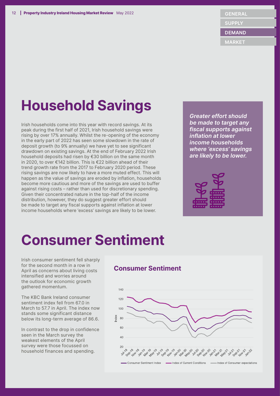**MARKET**

# **Household Savings**

Irish households come into this year with record savings. At its peak during the first half of 2021, Irish household savings were rising by over 17% annually. Whilst the re-opening of the economy in the early part of 2022 has seen some slowdown in the rate of deposit growth (to 9% annually) we have yet to see significant drawdown on existing savings. At the end of February 2022 Irish household deposits had risen by €30 billion on the same month in 2020, to over €142 billion. This is €22 billion ahead of their trend growth rate from the 2017 to February 2020 period. These rising savings are now likely to have a more muted effect. This will happen as the value of savings are eroded by inflation, households become more cautious and more of the savings are used to buffer against rising costs – rather than used for discretionary spending. Given their concentrated nature in the top-half of the income distribution, however, they do suggest greater effort should be made to target any fiscal supports against inflation at lower income households where 'excess' savings are likely to be lower.

*Greater effort should be made to target any fiscal supports against inflation at lower income households where 'excess' savings are likely to be lower.*



## **Consumer Sentiment**

Irish consumer sentiment fell sharply for the second month in a row in April as concerns about living costs intensified and worries around the outlook for economic growth gathered momentum.

The KBC Bank Ireland consumer sentiment index fell from 67.0 in March to 57.7 in April. The index now stands some significant distance below its long-term average of 86.6.

In contrast to the drop in confidence seen in the March survey the weakest elements of the April survey were those focussed on household finances and spending.

### **Consumer Sentiment**

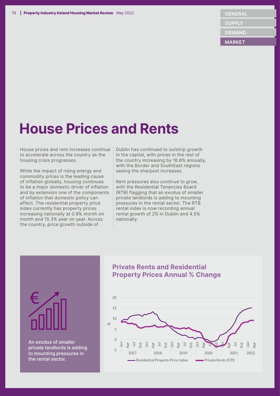## **House Prices and Rents**

House prices and rent increases continue to accelerate across the country as the housing crisis progresses.

While the impact of rising energy and commodity prices is the leading cause of inflation globally, housing continues to be a major domestic driver of inflation and by extension one of the components of inflation that domestic policy can affect. The residential property price index currently has property prices increasing nationally at 0.8% month on month and 15.3% year on year. Across the country, price growth outside of

Dublin has continued to outstrip growth in the capital, with prices in the rest of the country increasing by 16.8% annually, with the Border and SouthEast regions seeing the sharpest increases.

Rent pressures also continue to grow, with the Residential Tenancies Board (RTB) flagging that an exodus of smaller private landlords is adding to mounting pressures in the rental sector. The RTB rental index is now recording annual rental growth of 2% in Dublin and 4.5% nationally.



An exodus of smaller private landlords is adding to mounting pressures in the rental sector.

### **Private Rents and Residential Property Prices Annual % Change**